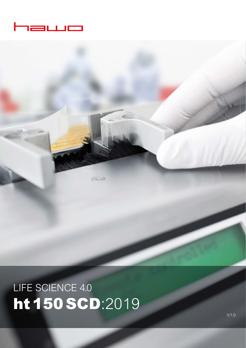

LIFE SCIENCE 4.0 ht 150 SCD:2019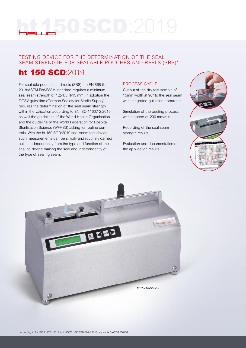# TESTING DEVICE FOR THE DETERMINATION OF THE SEAL SEAM STRENGTH FOR SEALABLE POUCHES AND REELS (SBS)\*

# ht 150 SCD:2019

For sealable pouches and reels (SBS) the EN 868-5: 2018/ASTM F88/F88M standard requires a minimum seal seam strength of 1.2/1.5 N/15 mm. In addition the DGSV-guideline (German Society for Sterile Supply) requires the determination of the seal seam strength within the validation according to EN ISO 11607-2:2019, as well the guidelines of the World Health Organisation and the guideline of the World Federation for Hospital Sterilisation Science (WFHSS) asking for routine controls. With the ht 150 SCD:2019 seal seam test device such measurements can be simply and routinely carried out — independently from the type and function of the sealing device making the seal and independently of the type of sealing seam.

# PROCESS CYCLE

Cut out of the dry test sample of 15mm width at 90° to the seal seam with integrated guillotine apparatus

Simulation of the peeling process with a speed of 200 mm/min

Recording of the seal seam strength results

Evaluation and documentation of the application results



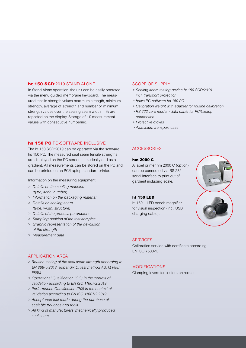# ht 150 SCD:2019 STAND ALONE

In Stand Alone operation, the unit can be easily operated via the menu guided membrane keyboard. The measured tensile strength values maximum strength, minimum strength, average of strength and number of minimum strength values over the sealing seam width in % are reported on the display. Storage of 10 measurement values with consecutive numbering.

# hs 150 PC PC-SOFTWARE INCLUSIVE

The ht 150 SCD:2019 can be operated via the software hs 150 PC. The measured seal seam tensile strengths are displayed on the PC screen numerically and as a gradient. All measurements can be stored on the PC and can be printed on an PC/Laptop standard printer.

Information on the measuring equipment:

- *> Details on the sealing machine (type, serial number)*
- *> Information on the packaging material*
- *> Details on sealing seam (type, width, structure)*
- *> Details of the process parameters*
- *> Sampling position of the test samples*
- *> Graphic representation of the devolution of the strength*
- *> Measurement data*

# APPLICATION AREA

- *> Routine testing of the seal seam strength according to EN 868-5:2018, appendix D, test method ASTM F88/ F88M*
- *> Operational Qualifi cation (OQ) in the context of validation according to EN ISO 11607-2:2019*
- *> Performance Qualifi cation (PQ) in the context of validation according to EN ISO 11607-2:2019*
- *> Acceptance test made during the purchase of sealable pouches and reels.*
- *> All kind of manufacturers' mechanically produced seal seam*

# SCOPE OF SUPPLY

- *> Sealing seam testing device ht 150 SCD:2019 incl. transport protection*
- *> hawo PC-software hs 150 PC*
- *> Calibration weight with adapter for routine calibration*
- *> RS 232 zero modem data cable for PC/Laptop connection*
- *> Protective gloves*
- *> Aluminium transport case*

# ACCESSORIES

### hm 2000 C

A label printer hm 2000 C (option) can be connected via RS 232 serial interface to print out of gardient including scale.

# ht 150 LED

ht 150 L LED bench magnifier for visual inspection (incl. USB charging cable).



#### **SERVICES**

Calibration service with certificate according EN ISO 7500-1.

# MODIFICATIONS

Clamping levers for blisters on request.